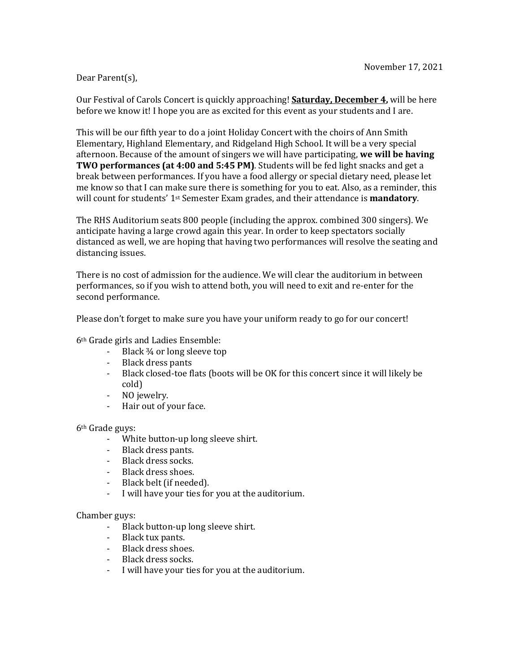#### November 17, 2021

# Dear Parent(s),

Our Festival of Carols Concert is quickly approaching! **Saturday, December 4**, will be here before we know it! I hope you are as excited for this event as your students and I are.

This will be our fifth year to do a joint Holiday Concert with the choirs of Ann Smith Elementary, Highland Elementary, and Ridgeland High School. It will be a very special afternoon. Because of the amount of singers we will have participating, we will be having **TWO performances (at 4:00 and 5:45 PM)**. Students will be fed light snacks and get a break between performances. If you have a food allergy or special dietary need, please let me know so that I can make sure there is something for you to eat. Also, as a reminder, this will count for students' 1<sup>st</sup> Semester Exam grades, and their attendance is **mandatory**.

The RHS Auditorium seats 800 people (including the approx. combined 300 singers). We anticipate having a large crowd again this year. In order to keep spectators socially distanced as well, we are hoping that having two performances will resolve the seating and distancing issues.

There is no cost of admission for the audience. We will clear the auditorium in between performances, so if you wish to attend both, you will need to exit and re-enter for the second performance.

Please don't forget to make sure you have your uniform ready to go for our concert!

6<sup>th</sup> Grade girls and Ladies Ensemble:

- Black  $\frac{3}{4}$  or long sleeve top
- Black dress pants
- Black closed-toe flats (boots will be OK for this concert since it will likely be cold)
- NO jewelry.
- Hair out of your face.

### 6<sup>th</sup> Grade guys:

- White button-up long sleeve shirt.
- Black dress pants.
- Black dress socks.
- Black dress shoes.
- Black belt (if needed).
- I will have your ties for you at the auditorium.

### Chamber guys:

- Black button-up long sleeve shirt.
- Black tux pants.
- Black dress shoes.
- Black dress socks.
- I will have your ties for you at the auditorium.